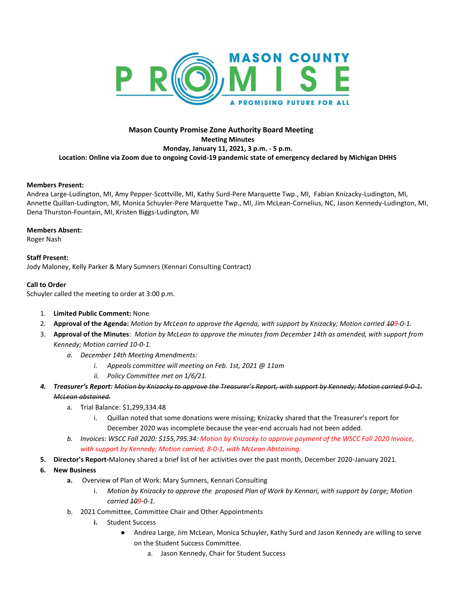

# **Mason County Promise Zone Authority Board Meeting Meeting Minutes Monday, January 11, 2021, 3 p.m. - 5 p.m. Location: Online via Zoom due to ongoing Covid-19 pandemic state of emergency declared by Michigan DHHS**

## **Members Present:**

Andrea Large-Ludington, MI, Amy Pepper-Scottville, MI, Kathy Surd-Pere Marquette Twp., MI, Fabian Knizacky-Ludington, MI, Annette Quillan-Ludington, MI, Monica Schuyler-Pere Marquette Twp., MI, Jim McLean-Cornelius, NC, Jason Kennedy-Ludington, MI, Dena Thurston-Fountain, MI, Kristen Biggs-Ludington, MI

#### **Members Absent:**

Roger Nash

# **Staff Present:**

Jody Maloney, Kelly Parker & Mary Sumners (Kennari Consulting Contract)

## **Call to Order**

Schuyler called the meeting to order at 3:00 p.m.

- 1. **Limited Public Comment:** None
- 2. **Approval of the Agenda:** *Motion by McLean to approve the Agenda, with support by Knizacky; Motion carried 109-0-1.*
- 3. **Approval of the Minutes**: *Motion by McLean to approve the minutes from December 14th as amended, with support from Kennedy; Motion carried 10-0-1.*
	- *a. December 14th Meeting Amendments:*
		- *i. Appeals committee will meeting on Feb. 1st, 2021 @ 11am*
		- *ii. Policy Committee met on 1/6/21.*
- *4. Treasurer's Report: Motion by Knizacky to approve the Treasurer's Report, with support by Kennedy; Motion carried 9-0-1. McLean abstained.*
	- a. Trial Balance: \$1,299,334.48
		- i. Quillan noted that some donations were missing; Knizacky shared that the Treasurer's report for December 2020 was incomplete because the year-end accruals had not been added.
	- *b. Invoices: WSCC Fall 2020: \$155,795.34: Motion by Knizacky to approve payment of the WSCC Fall 2020 Invoice, with support by Kennedy; Motion carried, 8-0-1, with McLean Abstaining.*
- **5. Director's Report-**Maloney shared a brief list of her activities over the past month, December 2020-January 2021.
- **6. New Business**
	- **a.** Overview of Plan of Work: Mary Sumners, Kennari Consulting
		- i. *Motion by Knizacky to approve the proposed Plan of Work by Kennari, with support by Large; Motion carried 109-0-1.*
	- b. 2021 Committee, Committee Chair and Other Appointments
		- **i.** Student Success
			- Andrea Large, Jim McLean, Monica Schuyler, Kathy Surd and Jason Kennedy are willing to serve on the Student Success Committee.
				- a. Jason Kennedy, Chair for Student Success